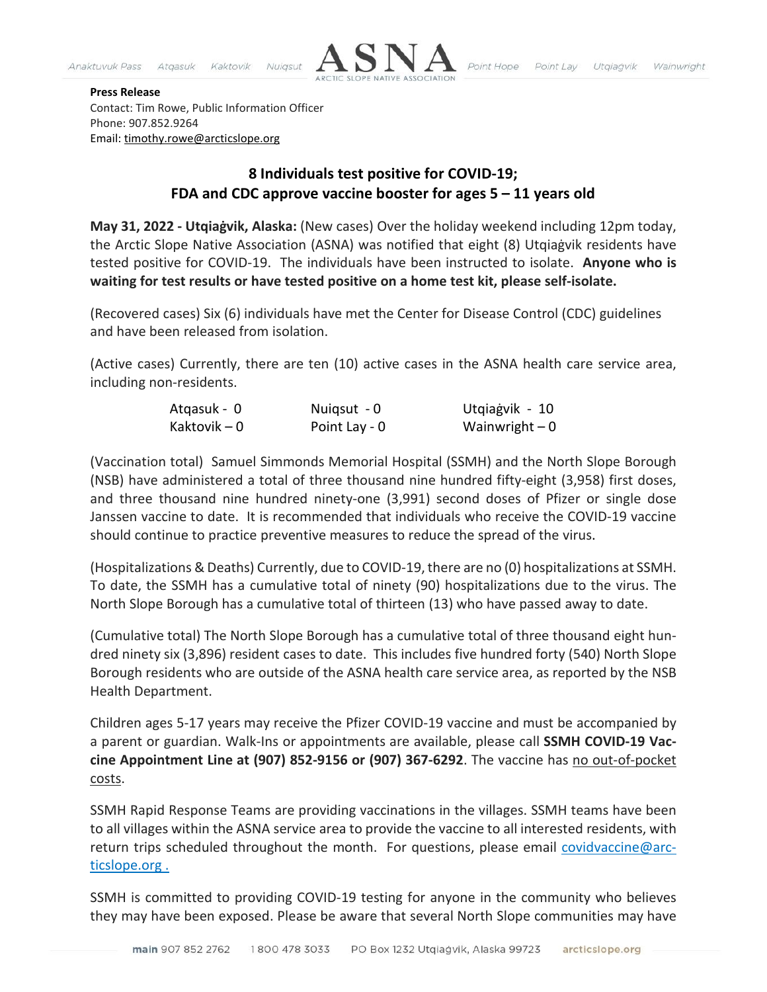

## **Press Release**

Contact: Tim Rowe, Public Information Officer Phone: 907.852.9264 Email: [timothy.rowe@arcticslope.org](mailto:timothy.rowe@arcticslope.org)

## **8 Individuals test positive for COVID-19; FDA and CDC approve vaccine booster for ages 5 – 11 years old**

**May 31, 2022 - Utqiaġvik, Alaska:** (New cases) Over the holiday weekend including 12pm today, the Arctic Slope Native Association (ASNA) was notified that eight (8) Utqiaġvik residents have tested positive for COVID-19. The individuals have been instructed to isolate. **Anyone who is waiting for test results or have tested positive on a home test kit, please self-isolate.**

(Recovered cases) Six (6) individuals have met the Center for Disease Control (CDC) guidelines and have been released from isolation.

(Active cases) Currently, there are ten (10) active cases in the ASNA health care service area, including non-residents.

| Atgasuk - 0  | Nuigsut - 0   | Utqiagvik - 10  |
|--------------|---------------|-----------------|
| Kaktovik – 0 | Point Lay - 0 | Wainwright $-0$ |

(Vaccination total) Samuel Simmonds Memorial Hospital (SSMH) and the North Slope Borough (NSB) have administered a total of three thousand nine hundred fifty-eight (3,958) first doses, and three thousand nine hundred ninety-one (3,991) second doses of Pfizer or single dose Janssen vaccine to date. It is recommended that individuals who receive the COVID-19 vaccine should continue to practice preventive measures to reduce the spread of the virus.

(Hospitalizations & Deaths) Currently, due to COVID-19, there are no (0) hospitalizations at SSMH. To date, the SSMH has a cumulative total of ninety (90) hospitalizations due to the virus. The North Slope Borough has a cumulative total of thirteen (13) who have passed away to date.

(Cumulative total) The North Slope Borough has a cumulative total of three thousand eight hundred ninety six (3,896) resident cases to date. This includes five hundred forty (540) North Slope Borough residents who are outside of the ASNA health care service area, as reported by the NSB Health Department.

Children ages 5-17 years may receive the Pfizer COVID-19 vaccine and must be accompanied by a parent or guardian. Walk-Ins or appointments are available, please call **SSMH COVID-19 Vaccine Appointment Line at (907) 852-9156 or (907) 367-6292**. The vaccine has no out-of-pocket costs.

SSMH Rapid Response Teams are providing vaccinations in the villages. SSMH teams have been to all villages within the ASNA service area to provide the vaccine to all interested residents, with return trips scheduled throughout the month. For questions, please email [covidvaccine@arc](mailto:covidvaccine@arcticslope.org)[ticslope.org](mailto:covidvaccine@arcticslope.org) .

SSMH is committed to providing COVID-19 testing for anyone in the community who believes they may have been exposed. Please be aware that several North Slope communities may have